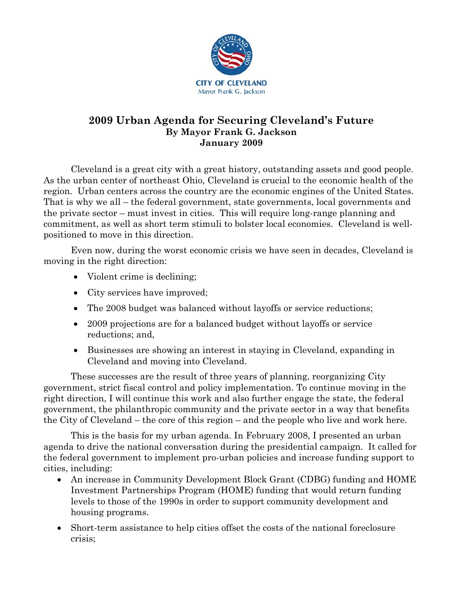

# **2009 Urban Agenda for Securing Cleveland's Future By Mayor Frank G. Jackson January 2009**

Cleveland is a great city with a great history, outstanding assets and good people. As the urban center of northeast Ohio, Cleveland is crucial to the economic health of the region. Urban centers across the country are the economic engines of the United States. That is why we all – the federal government, state governments, local governments and the private sector – must invest in cities. This will require long-range planning and commitment, as well as short term stimuli to bolster local economies. Cleveland is wellpositioned to move in this direction.

Even now, during the worst economic crisis we have seen in decades, Cleveland is moving in the right direction:

- Violent crime is declining;
- City services have improved;
- The 2008 budget was balanced without layoffs or service reductions;
- 2009 projections are for a balanced budget without layoffs or service reductions; and,
- Businesses are showing an interest in staying in Cleveland, expanding in Cleveland and moving into Cleveland.

These successes are the result of three years of planning, reorganizing City government, strict fiscal control and policy implementation. To continue moving in the right direction, I will continue this work and also further engage the state, the federal government, the philanthropic community and the private sector in a way that benefits the City of Cleveland – the core of this region – and the people who live and work here.

This is the basis for my urban agenda. In February 2008, I presented an urban agenda to drive the national conversation during the presidential campaign. It called for the federal government to implement pro-urban policies and increase funding support to cities, including:

- An increase in Community Development Block Grant (CDBG) funding and HOME Investment Partnerships Program (HOME) funding that would return funding levels to those of the 1990s in order to support community development and housing programs.
- Short-term assistance to help cities offset the costs of the national foreclosure crisis;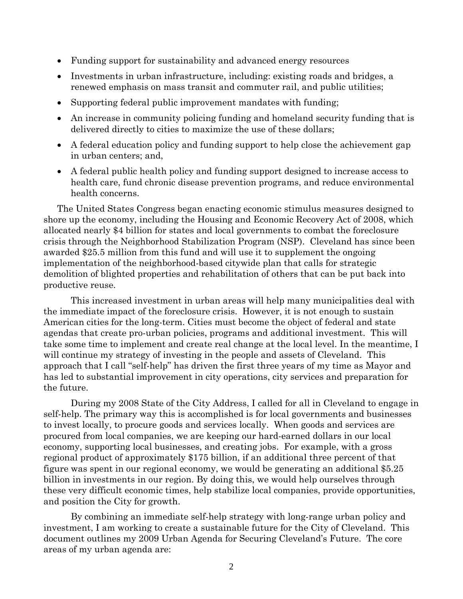- Funding support for sustainability and advanced energy resources
- Investments in urban infrastructure, including: existing roads and bridges, a renewed emphasis on mass transit and commuter rail, and public utilities;
- Supporting federal public improvement mandates with funding;
- An increase in community policing funding and homeland security funding that is delivered directly to cities to maximize the use of these dollars;
- A federal education policy and funding support to help close the achievement gap in urban centers; and,
- A federal public health policy and funding support designed to increase access to health care, fund chronic disease prevention programs, and reduce environmental health concerns.

The United States Congress began enacting economic stimulus measures designed to shore up the economy, including the Housing and Economic Recovery Act of 2008, which allocated nearly \$4 billion for states and local governments to combat the foreclosure crisis through the Neighborhood Stabilization Program (NSP). Cleveland has since been awarded \$25.5 million from this fund and will use it to supplement the ongoing implementation of the neighborhood-based citywide plan that calls for strategic demolition of blighted properties and rehabilitation of others that can be put back into productive reuse.

This increased investment in urban areas will help many municipalities deal with the immediate impact of the foreclosure crisis. However, it is not enough to sustain American cities for the long-term. Cities must become the object of federal and state agendas that create pro-urban policies, programs and additional investment. This will take some time to implement and create real change at the local level. In the meantime, I will continue my strategy of investing in the people and assets of Cleveland. This approach that I call "self-help" has driven the first three years of my time as Mayor and has led to substantial improvement in city operations, city services and preparation for the future.

During my 2008 State of the City Address, I called for all in Cleveland to engage in self-help. The primary way this is accomplished is for local governments and businesses to invest locally, to procure goods and services locally. When goods and services are procured from local companies, we are keeping our hard-earned dollars in our local economy, supporting local businesses, and creating jobs. For example, with a gross regional product of approximately \$175 billion, if an additional three percent of that figure was spent in our regional economy, we would be generating an additional \$5.25 billion in investments in our region. By doing this, we would help ourselves through these very difficult economic times, help stabilize local companies, provide opportunities, and position the City for growth.

By combining an immediate self-help strategy with long-range urban policy and investment, I am working to create a sustainable future for the City of Cleveland. This document outlines my 2009 Urban Agenda for Securing Cleveland's Future. The core areas of my urban agenda are: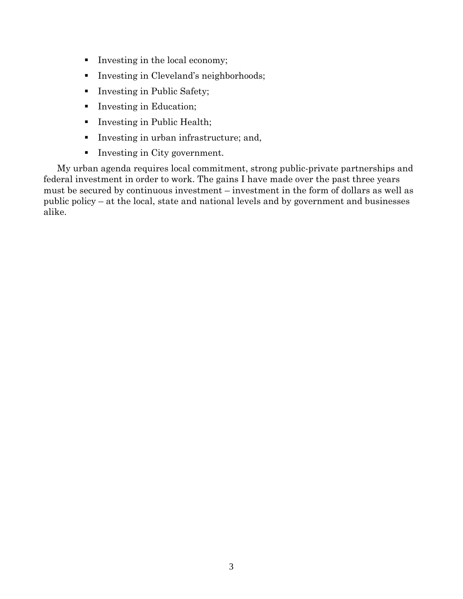- Investing in the local economy;
- Investing in Cleveland's neighborhoods;
- **Investing in Public Safety;**
- Investing in Education;
- **Investing in Public Health;**
- Investing in urban infrastructure; and,
- Investing in City government.

My urban agenda requires local commitment, strong public-private partnerships and federal investment in order to work. The gains I have made over the past three years must be secured by continuous investment – investment in the form of dollars as well as public policy – at the local, state and national levels and by government and businesses alike.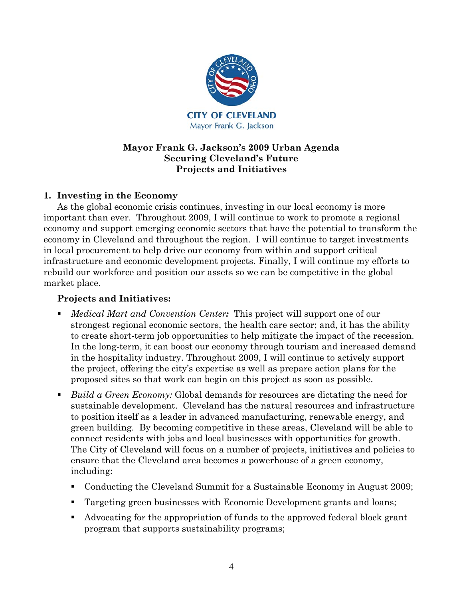

## **Mayor Frank G. Jackson's 2009 Urban Agenda Securing Cleveland's Future Projects and Initiatives**

# **1. Investing in the Economy**

As the global economic crisis continues, investing in our local economy is more important than ever. Throughout 2009, I will continue to work to promote a regional economy and support emerging economic sectors that have the potential to transform the economy in Cleveland and throughout the region. I will continue to target investments in local procurement to help drive our economy from within and support critical infrastructure and economic development projects. Finally, I will continue my efforts to rebuild our workforce and position our assets so we can be competitive in the global market place.

- *Medical Mart and Convention Center:* This project will support one of our strongest regional economic sectors, the health care sector; and, it has the ability to create short-term job opportunities to help mitigate the impact of the recession. In the long-term, it can boost our economy through tourism and increased demand in the hospitality industry. Throughout 2009, I will continue to actively support the project, offering the city's expertise as well as prepare action plans for the proposed sites so that work can begin on this project as soon as possible.
- *Build a Green Economy:* Global demands for resources are dictating the need for sustainable development. Cleveland has the natural resources and infrastructure to position itself as a leader in advanced manufacturing, renewable energy, and green building. By becoming competitive in these areas, Cleveland will be able to connect residents with jobs and local businesses with opportunities for growth. The City of Cleveland will focus on a number of projects, initiatives and policies to ensure that the Cleveland area becomes a powerhouse of a green economy, including:
	- Conducting the Cleveland Summit for a Sustainable Economy in August 2009;
	- Targeting green businesses with Economic Development grants and loans;
	- Advocating for the appropriation of funds to the approved federal block grant program that supports sustainability programs;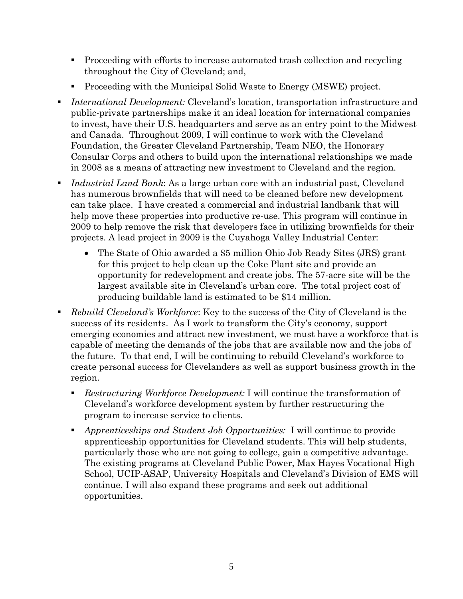- **Proceeding with efforts to increase automated trash collection and recycling** throughout the City of Cleveland; and,
- Proceeding with the Municipal Solid Waste to Energy (MSWE) project.
- *International Development:* Cleveland's location, transportation infrastructure and public-private partnerships make it an ideal location for international companies to invest, have their U.S. headquarters and serve as an entry point to the Midwest and Canada. Throughout 2009, I will continue to work with the Cleveland Foundation, the Greater Cleveland Partnership, Team NEO, the Honorary Consular Corps and others to build upon the international relationships we made in 2008 as a means of attracting new investment to Cleveland and the region.
- *Industrial Land Bank*: As a large urban core with an industrial past, Cleveland has numerous brownfields that will need to be cleaned before new development can take place. I have created a commercial and industrial landbank that will help move these properties into productive re-use. This program will continue in 2009 to help remove the risk that developers face in utilizing brownfields for their projects. A lead project in 2009 is the Cuyahoga Valley Industrial Center:
	- The State of Ohio awarded a \$5 million Ohio Job Ready Sites (JRS) grant for this project to help clean up the Coke Plant site and provide an opportunity for redevelopment and create jobs. The 57-acre site will be the largest available site in Cleveland's urban core. The total project cost of producing buildable land is estimated to be \$14 million.
- *Rebuild Cleveland's Workforce*: Key to the success of the City of Cleveland is the success of its residents. As I work to transform the City's economy, support emerging economies and attract new investment, we must have a workforce that is capable of meeting the demands of the jobs that are available now and the jobs of the future. To that end, I will be continuing to rebuild Cleveland's workforce to create personal success for Clevelanders as well as support business growth in the region.
	- *Restructuring Workforce Development:* I will continue the transformation of Cleveland's workforce development system by further restructuring the program to increase service to clients.
	- *Apprenticeships and Student Job Opportunities:* I will continue to provide apprenticeship opportunities for Cleveland students. This will help students, particularly those who are not going to college, gain a competitive advantage. The existing programs at Cleveland Public Power, Max Hayes Vocational High School, UCIP-ASAP, University Hospitals and Cleveland's Division of EMS will continue. I will also expand these programs and seek out additional opportunities.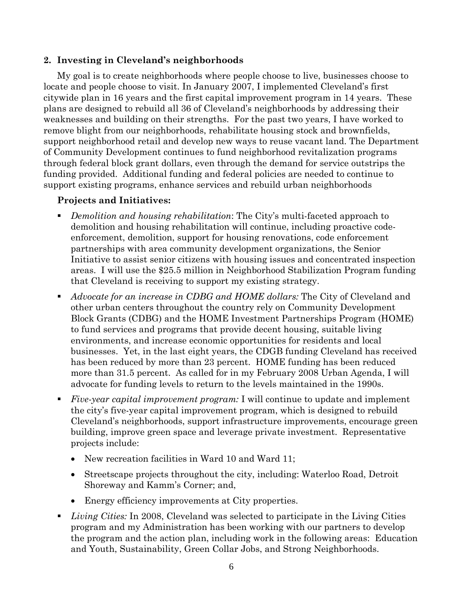### **2. Investing in Cleveland's neighborhoods**

My goal is to create neighborhoods where people choose to live, businesses choose to locate and people choose to visit. In January 2007, I implemented Cleveland's first citywide plan in 16 years and the first capital improvement program in 14 years. These plans are designed to rebuild all 36 of Cleveland's neighborhoods by addressing their weaknesses and building on their strengths. For the past two years, I have worked to remove blight from our neighborhoods, rehabilitate housing stock and brownfields, support neighborhood retail and develop new ways to reuse vacant land. The Department of Community Development continues to fund neighborhood revitalization programs through federal block grant dollars, even through the demand for service outstrips the funding provided. Additional funding and federal policies are needed to continue to support existing programs, enhance services and rebuild urban neighborhoods

- *Demolition and housing rehabilitation*: The City's multi-faceted approach to demolition and housing rehabilitation will continue, including proactive codeenforcement, demolition, support for housing renovations, code enforcement partnerships with area community development organizations, the Senior Initiative to assist senior citizens with housing issues and concentrated inspection areas. I will use the \$25.5 million in Neighborhood Stabilization Program funding that Cleveland is receiving to support my existing strategy.
- *Advocate for an increase in CDBG and HOME dollars:* The City of Cleveland and other urban centers throughout the country rely on Community Development Block Grants (CDBG) and the HOME Investment Partnerships Program (HOME) to fund services and programs that provide decent housing, suitable living environments, and increase economic opportunities for residents and local businesses. Yet, in the last eight years, the CDGB funding Cleveland has received has been reduced by more than 23 percent. HOME funding has been reduced more than 31.5 percent. As called for in my February 2008 Urban Agenda, I will advocate for funding levels to return to the levels maintained in the 1990s.
- *Five-year capital improvement program:* I will continue to update and implement the city's five-year capital improvement program, which is designed to rebuild Cleveland's neighborhoods, support infrastructure improvements, encourage green building, improve green space and leverage private investment. Representative projects include:
	- New recreation facilities in Ward 10 and Ward 11;
	- Streetscape projects throughout the city, including: Waterloo Road, Detroit Shoreway and Kamm's Corner; and,
	- Energy efficiency improvements at City properties.
- *Living Cities:* In 2008, Cleveland was selected to participate in the Living Cities program and my Administration has been working with our partners to develop the program and the action plan, including work in the following areas: Education and Youth, Sustainability, Green Collar Jobs, and Strong Neighborhoods.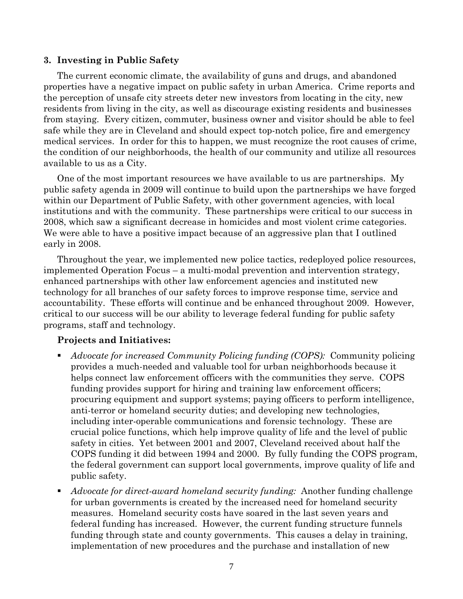#### **3. Investing in Public Safety**

The current economic climate, the availability of guns and drugs, and abandoned properties have a negative impact on public safety in urban America. Crime reports and the perception of unsafe city streets deter new investors from locating in the city, new residents from living in the city, as well as discourage existing residents and businesses from staying. Every citizen, commuter, business owner and visitor should be able to feel safe while they are in Cleveland and should expect top-notch police, fire and emergency medical services. In order for this to happen, we must recognize the root causes of crime, the condition of our neighborhoods, the health of our community and utilize all resources available to us as a City.

One of the most important resources we have available to us are partnerships. My public safety agenda in 2009 will continue to build upon the partnerships we have forged within our Department of Public Safety, with other government agencies, with local institutions and with the community. These partnerships were critical to our success in 2008, which saw a significant decrease in homicides and most violent crime categories. We were able to have a positive impact because of an aggressive plan that I outlined early in 2008.

Throughout the year, we implemented new police tactics, redeployed police resources, implemented Operation Focus – a multi-modal prevention and intervention strategy, enhanced partnerships with other law enforcement agencies and instituted new technology for all branches of our safety forces to improve response time, service and accountability. These efforts will continue and be enhanced throughout 2009. However, critical to our success will be our ability to leverage federal funding for public safety programs, staff and technology.

- *Advocate for increased Community Policing funding (COPS):* Community policing provides a much-needed and valuable tool for urban neighborhoods because it helps connect law enforcement officers with the communities they serve. COPS funding provides support for hiring and training law enforcement officers; procuring equipment and support systems; paying officers to perform intelligence, anti-terror or homeland security duties; and developing new technologies, including inter-operable communications and forensic technology. These are crucial police functions, which help improve quality of life and the level of public safety in cities. Yet between 2001 and 2007, Cleveland received about half the COPS funding it did between 1994 and 2000. By fully funding the COPS program, the federal government can support local governments, improve quality of life and public safety.
- *Advocate for direct-award homeland security funding:* Another funding challenge for urban governments is created by the increased need for homeland security measures. Homeland security costs have soared in the last seven years and federal funding has increased. However, the current funding structure funnels funding through state and county governments. This causes a delay in training, implementation of new procedures and the purchase and installation of new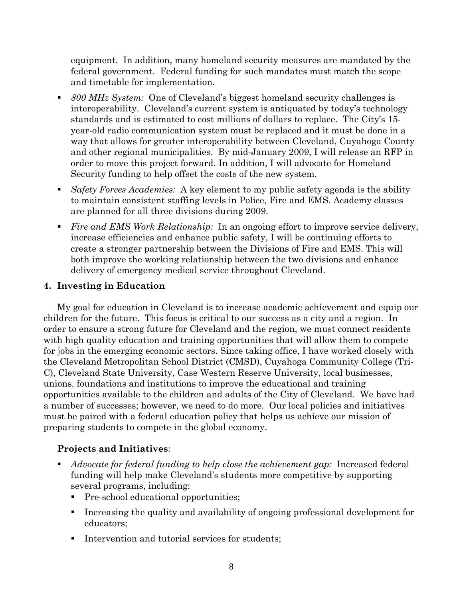equipment. In addition, many homeland security measures are mandated by the federal government. Federal funding for such mandates must match the scope and timetable for implementation.

- *800 MHz System:* One of Cleveland's biggest homeland security challenges is interoperability. Cleveland's current system is antiquated by today's technology standards and is estimated to cost millions of dollars to replace. The City's 15 year-old radio communication system must be replaced and it must be done in a way that allows for greater interoperability between Cleveland, Cuyahoga County and other regional municipalities. By mid-January 2009, I will release an RFP in order to move this project forward. In addition, I will advocate for Homeland Security funding to help offset the costs of the new system.
- *Safety Forces Academies:* A key element to my public safety agenda is the ability to maintain consistent staffing levels in Police, Fire and EMS. Academy classes are planned for all three divisions during 2009.
- *Fire and EMS Work Relationship:* In an ongoing effort to improve service delivery, increase efficiencies and enhance public safety, I will be continuing efforts to create a stronger partnership between the Divisions of Fire and EMS. This will both improve the working relationship between the two divisions and enhance delivery of emergency medical service throughout Cleveland.

### **4. Investing in Education**

My goal for education in Cleveland is to increase academic achievement and equip our children for the future. This focus is critical to our success as a city and a region. In order to ensure a strong future for Cleveland and the region, we must connect residents with high quality education and training opportunities that will allow them to compete for jobs in the emerging economic sectors. Since taking office, I have worked closely with the Cleveland Metropolitan School District (CMSD), Cuyahoga Community College (Tri-C), Cleveland State University, Case Western Reserve University, local businesses, unions, foundations and institutions to improve the educational and training opportunities available to the children and adults of the City of Cleveland. We have had a number of successes; however, we need to do more. Our local policies and initiatives must be paired with a federal education policy that helps us achieve our mission of preparing students to compete in the global economy.

- *Advocate for federal funding to help close the achievement gap:* Increased federal funding will help make Cleveland's students more competitive by supporting several programs, including:
	- Pre-school educational opportunities;
	- Increasing the quality and availability of ongoing professional development for educators;
	- **Intervention and tutorial services for students;**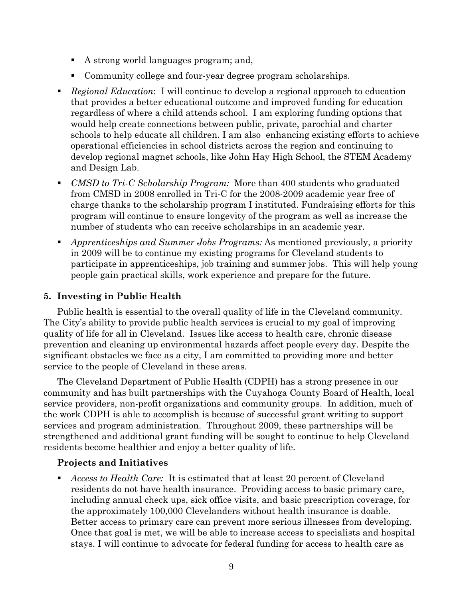- A strong world languages program; and,
- Community college and four-year degree program scholarships.
- *Regional Education*: I will continue to develop a regional approach to education that provides a better educational outcome and improved funding for education regardless of where a child attends school. I am exploring funding options that would help create connections between public, private, parochial and charter schools to help educate all children. I am also enhancing existing efforts to achieve operational efficiencies in school districts across the region and continuing to develop regional magnet schools, like John Hay High School, the STEM Academy and Design Lab.
- *CMSD to Tri-C Scholarship Program:* More than 400 students who graduated from CMSD in 2008 enrolled in Tri-C for the 2008-2009 academic year free of charge thanks to the scholarship program I instituted. Fundraising efforts for this program will continue to ensure longevity of the program as well as increase the number of students who can receive scholarships in an academic year.
- *Apprenticeships and Summer Jobs Programs:* As mentioned previously, a priority in 2009 will be to continue my existing programs for Cleveland students to participate in apprenticeships, job training and summer jobs. This will help young people gain practical skills, work experience and prepare for the future.

# **5. Investing in Public Health**

Public health is essential to the overall quality of life in the Cleveland community. The City's ability to provide public health services is crucial to my goal of improving quality of life for all in Cleveland. Issues like access to health care, chronic disease prevention and cleaning up environmental hazards affect people every day. Despite the significant obstacles we face as a city, I am committed to providing more and better service to the people of Cleveland in these areas.

The Cleveland Department of Public Health (CDPH) has a strong presence in our community and has built partnerships with the Cuyahoga County Board of Health, local service providers, non-profit organizations and community groups. In addition, much of the work CDPH is able to accomplish is because of successful grant writing to support services and program administration. Throughout 2009, these partnerships will be strengthened and additional grant funding will be sought to continue to help Cleveland residents become healthier and enjoy a better quality of life.

### **Projects and Initiatives**

 *Access to Health Care:* It is estimated that at least 20 percent of Cleveland residents do not have health insurance. Providing access to basic primary care, including annual check ups, sick office visits, and basic prescription coverage, for the approximately 100,000 Clevelanders without health insurance is doable. Better access to primary care can prevent more serious illnesses from developing. Once that goal is met, we will be able to increase access to specialists and hospital stays. I will continue to advocate for federal funding for access to health care as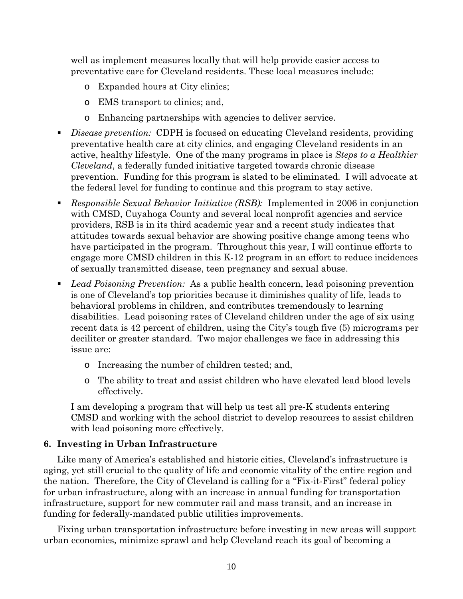well as implement measures locally that will help provide easier access to preventative care for Cleveland residents. These local measures include:

- o Expanded hours at City clinics;
- o EMS transport to clinics; and,
- o Enhancing partnerships with agencies to deliver service.
- *Disease prevention:* CDPH is focused on educating Cleveland residents, providing preventative health care at city clinics, and engaging Cleveland residents in an active, healthy lifestyle. One of the many programs in place is *Steps to a Healthier Cleveland*, a federally funded initiative targeted towards chronic disease prevention. Funding for this program is slated to be eliminated. I will advocate at the federal level for funding to continue and this program to stay active.
- *Responsible Sexual Behavior Initiative (RSB):* Implemented in 2006 in conjunction with CMSD, Cuyahoga County and several local nonprofit agencies and service providers, RSB is in its third academic year and a recent study indicates that attitudes towards sexual behavior are showing positive change among teens who have participated in the program. Throughout this year, I will continue efforts to engage more CMSD children in this K-12 program in an effort to reduce incidences of sexually transmitted disease, teen pregnancy and sexual abuse.
- *Lead Poisoning Prevention:* As a public health concern, lead poisoning prevention is one of Cleveland's top priorities because it diminishes quality of life, leads to behavioral problems in children, and contributes tremendously to learning disabilities. Lead poisoning rates of Cleveland children under the age of six using recent data is 42 percent of children, using the City's tough five (5) micrograms per deciliter or greater standard. Two major challenges we face in addressing this issue are:
	- o Increasing the number of children tested; and,
	- o The ability to treat and assist children who have elevated lead blood levels effectively.

I am developing a program that will help us test all pre-K students entering CMSD and working with the school district to develop resources to assist children with lead poisoning more effectively.

#### **6. Investing in Urban Infrastructure**

Like many of America's established and historic cities, Cleveland's infrastructure is aging, yet still crucial to the quality of life and economic vitality of the entire region and the nation. Therefore, the City of Cleveland is calling for a "Fix-it-First" federal policy for urban infrastructure, along with an increase in annual funding for transportation infrastructure, support for new commuter rail and mass transit, and an increase in funding for federally-mandated public utilities improvements.

Fixing urban transportation infrastructure before investing in new areas will support urban economies, minimize sprawl and help Cleveland reach its goal of becoming a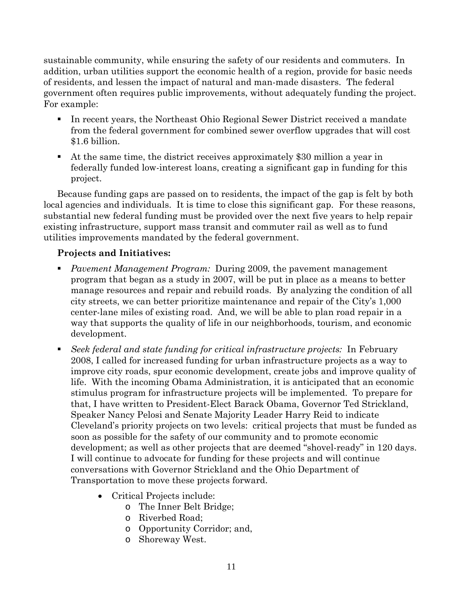sustainable community, while ensuring the safety of our residents and commuters. In addition, urban utilities support the economic health of a region, provide for basic needs of residents, and lessen the impact of natural and man-made disasters. The federal government often requires public improvements, without adequately funding the project. For example:

- In recent years, the Northeast Ohio Regional Sewer District received a mandate from the federal government for combined sewer overflow upgrades that will cost \$1.6 billion.
- At the same time, the district receives approximately \$30 million a year in federally funded low-interest loans, creating a significant gap in funding for this project.

Because funding gaps are passed on to residents, the impact of the gap is felt by both local agencies and individuals. It is time to close this significant gap. For these reasons, substantial new federal funding must be provided over the next five years to help repair existing infrastructure, support mass transit and commuter rail as well as to fund utilities improvements mandated by the federal government.

- *Pavement Management Program:* During 2009, the pavement management program that began as a study in 2007, will be put in place as a means to better manage resources and repair and rebuild roads. By analyzing the condition of all city streets, we can better prioritize maintenance and repair of the City's 1,000 center-lane miles of existing road. And, we will be able to plan road repair in a way that supports the quality of life in our neighborhoods, tourism, and economic development.
- *Seek federal and state funding for critical infrastructure projects:* In February 2008, I called for increased funding for urban infrastructure projects as a way to improve city roads, spur economic development, create jobs and improve quality of life. With the incoming Obama Administration, it is anticipated that an economic stimulus program for infrastructure projects will be implemented. To prepare for that, I have written to President-Elect Barack Obama, Governor Ted Strickland, Speaker Nancy Pelosi and Senate Majority Leader Harry Reid to indicate Cleveland's priority projects on two levels: critical projects that must be funded as soon as possible for the safety of our community and to promote economic development; as well as other projects that are deemed "shovel-ready" in 120 days. I will continue to advocate for funding for these projects and will continue conversations with Governor Strickland and the Ohio Department of Transportation to move these projects forward.
	- Critical Projects include:
		- o The Inner Belt Bridge;
		- o Riverbed Road;
		- o Opportunity Corridor; and,
		- o Shoreway West.